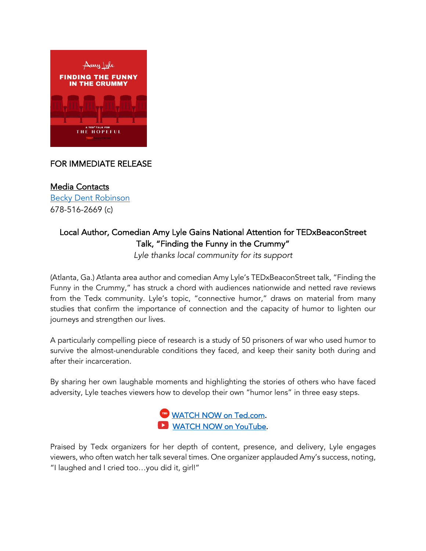

## FOR IMMEDIATE RELEASE

Media Contacts [Becky Dent Robinson](mailto:becky@chatterhousecommunications.com)  678-516-2669 (c)

## Local Author, Comedian Amy Lyle Gains National Attention for TEDxBeaconStreet Talk, "Finding the Funny in the Crummy"

*Lyle thanks local community for its support*

(Atlanta, Ga.) Atlanta area author and comedian Amy Lyle's TEDxBeaconStreet talk, "Finding the Funny in the Crummy," has struck a chord with audiences nationwide and netted rave reviews from the Tedx community. Lyle's topic, "connective humor," draws on material from many studies that confirm the importance of connection and the capacity of humor to lighten our journeys and strengthen our lives.

A particularly compelling piece of research is a study of 50 prisoners of war who used humor to survive the almost-unendurable conditions they faced, and keep their sanity both during and after their incarceration.

By sharing her own laughable moments and highlighting the stories of others who have faced adversity, Lyle teaches viewers how to develop their own "humor lens" in three easy steps.



Praised by Tedx organizers for her depth of content, presence, and delivery, Lyle engages viewers, who often watch her talk several times. One organizer applauded Amy's success, noting, "I laughed and I cried too…you did it, girl!"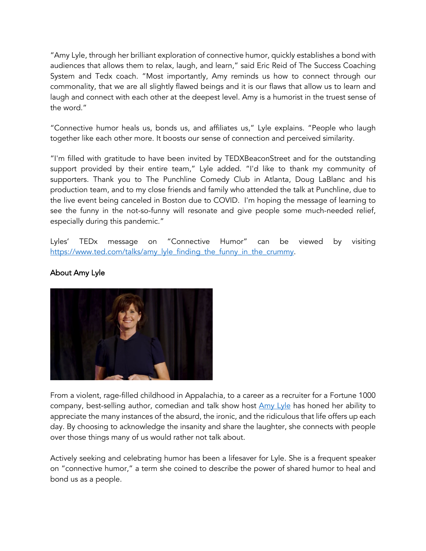"Amy Lyle, through her brilliant exploration of connective humor, quickly establishes a bond with audiences that allows them to relax, laugh, and learn," said Eric Reid of The Success Coaching System and Tedx coach. "Most importantly, Amy reminds us how to connect through our commonality, that we are all slightly flawed beings and it is our flaws that allow us to learn and laugh and connect with each other at the deepest level. Amy is a humorist in the truest sense of the word."

"Connective humor heals us, bonds us, and affiliates us," Lyle explains. "People who laugh together like each other more. It boosts our sense of connection and perceived similarity.

"I'm filled with gratitude to have been invited by TEDXBeaconStreet and for the outstanding support provided by their entire team," Lyle added. "I'd like to thank my community of supporters. Thank you to The Punchline Comedy Club in Atlanta, Doug LaBlanc and his production team, and to my close friends and family who attended the talk at Punchline, due to the live event being canceled in Boston due to COVID. I'm hoping the message of learning to see the funny in the not-so-funny will resonate and give people some much-needed relief, especially during this pandemic."

Lyles' TEDx message on "Connective Humor" can be viewed by visiting https://www.ted.com/talks/amy\_lyle\_finding\_the\_funny\_in\_the\_crummy.



## About Amy Lyle

From a violent, rage-filled childhood in Appalachia, to a career as a recruiter for a Fortune 1000 company, best-selling author, comedian and talk show host  $\Delta my$  Lyle has honed her ability to appreciate the many instances of the absurd, the ironic, and the ridiculous that life offers up each day. By choosing to acknowledge the insanity and share the laughter, she connects with people over those things many of us would rather not talk about.

Actively seeking and celebrating humor has been a lifesaver for Lyle. She is a frequent speaker on "connective humor," a term she coined to describe the power of shared humor to heal and bond us as a people.